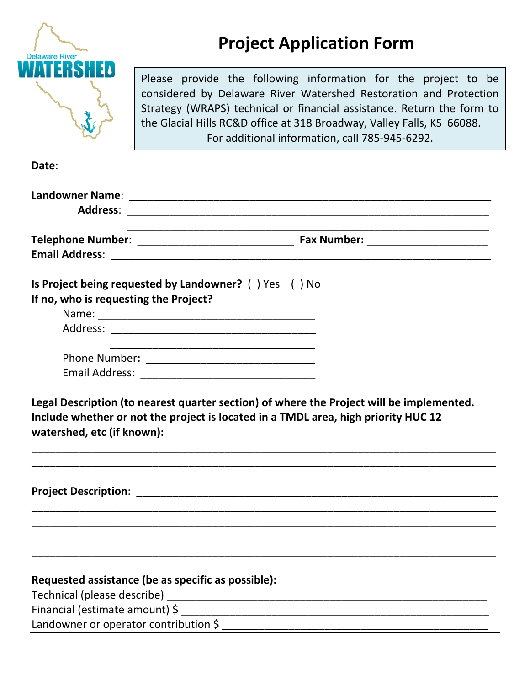| <b>Delaware River</b>                                               | <b>Project Application Form</b>                                                                                                                                                                                                                                                                                                           |  |  |
|---------------------------------------------------------------------|-------------------------------------------------------------------------------------------------------------------------------------------------------------------------------------------------------------------------------------------------------------------------------------------------------------------------------------------|--|--|
|                                                                     | Please provide the following information for the project to be<br>considered by Delaware River Watershed Restoration and Protection<br>Strategy (WRAPS) technical or financial assistance. Return the form to<br>the Glacial Hills RC&D office at 318 Broadway, Valley Falls, KS 66088.<br>For additional information, call 785-945-6292. |  |  |
| Date:                                                               |                                                                                                                                                                                                                                                                                                                                           |  |  |
|                                                                     |                                                                                                                                                                                                                                                                                                                                           |  |  |
|                                                                     |                                                                                                                                                                                                                                                                                                                                           |  |  |
| If no, who is requesting the Project?<br>watershed, etc (if known): | Legal Description (to nearest quarter section) of where the Project will be implemented.<br>Include whether or not the project is located in a TMDL area, high priority HUC 12                                                                                                                                                            |  |  |
|                                                                     |                                                                                                                                                                                                                                                                                                                                           |  |  |
|                                                                     |                                                                                                                                                                                                                                                                                                                                           |  |  |
|                                                                     | Requested assistance (be as specific as possible):                                                                                                                                                                                                                                                                                        |  |  |
|                                                                     |                                                                                                                                                                                                                                                                                                                                           |  |  |
|                                                                     |                                                                                                                                                                                                                                                                                                                                           |  |  |